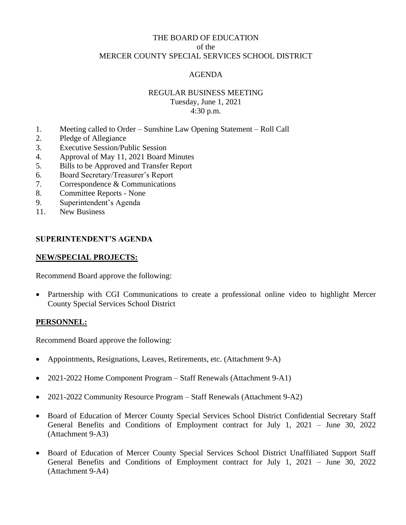# THE BOARD OF EDUCATION of the MERCER COUNTY SPECIAL SERVICES SCHOOL DISTRICT

# AGENDA

# REGULAR BUSINESS MEETING Tuesday, June 1, 2021 4:30 p.m.

- 1. Meeting called to Order Sunshine Law Opening Statement Roll Call
- 2. Pledge of Allegiance
- 3. Executive Session/Public Session
- 4. Approval of May 11, 2021 Board Minutes
- 5. Bills to be Approved and Transfer Report
- 6. Board Secretary/Treasurer's Report
- 7. Correspondence & Communications
- 8. Committee Reports None
- 9. Superintendent's Agenda
- 11. New Business

#### **SUPERINTENDENT'S AGENDA**

#### **NEW/SPECIAL PROJECTS:**

Recommend Board approve the following:

• Partnership with CGI Communications to create a professional online video to highlight Mercer County Special Services School District

#### **PERSONNEL:**

Recommend Board approve the following:

- Appointments, Resignations, Leaves, Retirements, etc. (Attachment 9-A)
- 2021-2022 Home Component Program Staff Renewals (Attachment 9-A1)
- 2021-2022 Community Resource Program Staff Renewals (Attachment 9-A2)
- Board of Education of Mercer County Special Services School District Confidential Secretary Staff General Benefits and Conditions of Employment contract for July 1, 2021 – June 30, 2022 (Attachment 9-A3)
- Board of Education of Mercer County Special Services School District Unaffiliated Support Staff General Benefits and Conditions of Employment contract for July 1, 2021 – June 30, 2022 (Attachment 9-A4)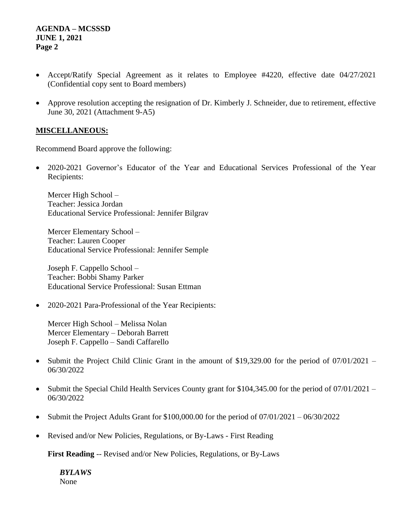- Accept/Ratify Special Agreement as it relates to Employee #4220, effective date 04/27/2021 (Confidential copy sent to Board members)
- Approve resolution accepting the resignation of Dr. Kimberly J. Schneider, due to retirement, effective June 30, 2021 (Attachment 9-A5)

# **MISCELLANEOUS:**

Recommend Board approve the following:

• 2020-2021 Governor's Educator of the Year and Educational Services Professional of the Year Recipients:

Mercer High School – Teacher: Jessica Jordan Educational Service Professional: Jennifer Bilgrav

Mercer Elementary School – Teacher: Lauren Cooper Educational Service Professional: Jennifer Semple

Joseph F. Cappello School – Teacher: Bobbi Shamy Parker Educational Service Professional: Susan Ettman

• 2020-2021 Para-Professional of the Year Recipients:

Mercer High School – Melissa Nolan Mercer Elementary – Deborah Barrett Joseph F. Cappello – Sandi Caffarello

- Submit the Project Child Clinic Grant in the amount of \$19,329.00 for the period of 07/01/2021 06/30/2022
- Submit the Special Child Health Services County grant for \$104,345.00 for the period of 07/01/2021 06/30/2022
- Submit the Project Adults Grant for \$100,000.00 for the period of 07/01/2021 06/30/2022
- Revised and/or New Policies, Regulations, or By-Laws First Reading

**First Reading** -- Revised and/or New Policies, Regulations, or By-Laws

*BYLAWS* None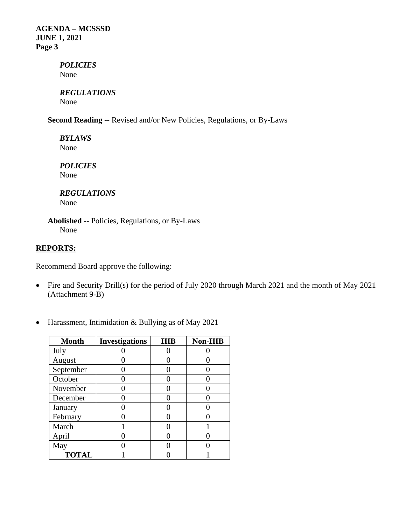> *POLICIES* None

*REGULATIONS* None

**Second Reading** -- Revised and/or New Policies, Regulations, or By-Laws

*BYLAWS* None

*POLICIES* None

# *REGULATIONS*

None

**Abolished** -- Policies, Regulations, or By-Laws None

# **REPORTS:**

Recommend Board approve the following:

- Fire and Security Drill(s) for the period of July 2020 through March 2021 and the month of May 2021 (Attachment 9-B)
- **Month Investigations HIB Non-HIB** July 0 0 0 0 August 0 0 0 0 September 0 0 0 0 October 0 0 0 0 November 0 0 0 0 December  $\begin{vmatrix} 0 & 1 & 0 \\ 0 & 0 & 0 \end{vmatrix}$  0 January  $\begin{array}{|c|c|c|c|c|} \hline 0 & 0 & 0 \\ \hline \end{array}$  0 0 February 0 0 0 0 March 1 0 1 April 0 0 0 0 May  $\begin{array}{|c|c|c|c|c|} \hline \text{May} & \text{O} & \text{O} & \text{O} \ \hline \end{array}$

**TOTAL** 1 0 1

• Harassment, Intimidation & Bullying as of May 2021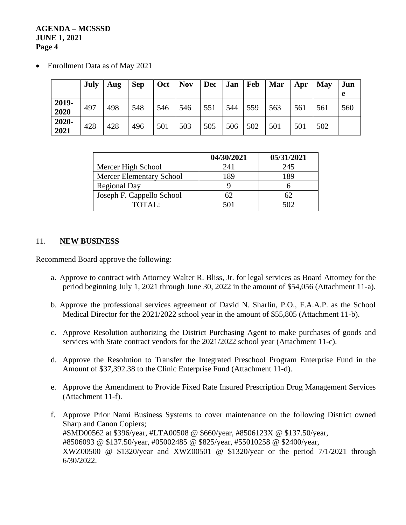• Enrollment Data as of May 2021

|               | <b>July</b> | Aug | <b>Sep</b> | Oct | <b>Nov</b> | $Dec \mid Jan \mid Feb$ |     |     | <b>Mar</b> | Apr | May | Jun<br>e |
|---------------|-------------|-----|------------|-----|------------|-------------------------|-----|-----|------------|-----|-----|----------|
| 2019-<br>2020 | 497         | 498 | 548        | 546 | 546        | 551                     | 544 | 559 | 563        | 561 | 561 | 560      |
| 2020-<br>2021 | 428         | 428 | 496        | 501 | 503        | 505                     | 506 | 502 | 501        | 501 | 502 |          |

|                                 | 04/30/2021 | 05/31/2021 |
|---------------------------------|------------|------------|
| Mercer High School              | 241        | 245        |
| <b>Mercer Elementary School</b> | 189        | 189        |
| <b>Regional Day</b>             |            |            |
| Joseph F. Cappello School       |            |            |
| TOTAI:                          |            |            |

# 11. **NEW BUSINESS**

Recommend Board approve the following:

- a. Approve to contract with Attorney Walter R. Bliss, Jr. for legal services as Board Attorney for the period beginning July 1, 2021 through June 30, 2022 in the amount of \$54,056 (Attachment 11-a).
- b. Approve the professional services agreement of David N. Sharlin, P.O., F.A.A.P. as the School Medical Director for the 2021/2022 school year in the amount of \$55,805 (Attachment 11-b).
- c. Approve Resolution authorizing the District Purchasing Agent to make purchases of goods and services with State contract vendors for the 2021/2022 school year (Attachment 11-c).
- d. Approve the Resolution to Transfer the Integrated Preschool Program Enterprise Fund in the Amount of \$37,392.38 to the Clinic Enterprise Fund (Attachment 11-d).
- e. Approve the Amendment to Provide Fixed Rate Insured Prescription Drug Management Services (Attachment 11-f).
- f. Approve Prior Nami Business Systems to cover maintenance on the following District owned Sharp and Canon Copiers; #SMD00562 at \$396/year, #LTA00508 @ \$660/year, #8506123X @ \$137.50/year, #8506093 @ \$137.50/year, #05002485 @ \$825/year, #55010258 @ \$2400/year, XWZ00500 @ \$1320/year and XWZ00501 @ \$1320/year or the period 7/1/2021 through 6/30/2022.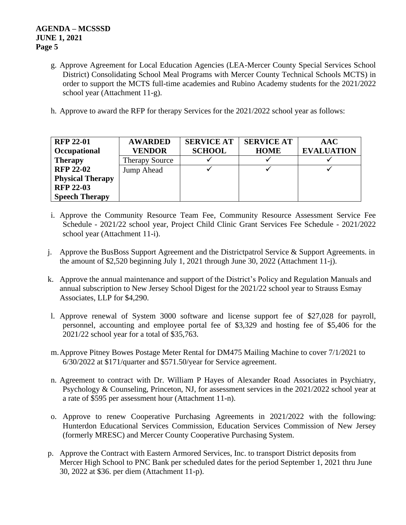- g. Approve Agreement for Local Education Agencies (LEA-Mercer County Special Services School District) Consolidating School Meal Programs with Mercer County Technical Schools MCTS) in order to support the MCTS full-time academies and Rubino Academy students for the 2021/2022 school year (Attachment 11-g).
- h. Approve to award the RFP for therapy Services for the 2021/2022 school year as follows:

| <b>RFP 22-01</b>        | <b>AWARDED</b>        | <b>SERVICE AT</b> | <b>SERVICE AT</b> | <b>AAC</b>        |
|-------------------------|-----------------------|-------------------|-------------------|-------------------|
| Occupational            | <b>VENDOR</b>         | <b>SCHOOL</b>     | <b>HOME</b>       | <b>EVALUATION</b> |
| <b>Therapy</b>          | <b>Therapy Source</b> |                   |                   |                   |
| <b>RFP 22-02</b>        | Jump Ahead            |                   |                   |                   |
| <b>Physical Therapy</b> |                       |                   |                   |                   |
| <b>RFP 22-03</b>        |                       |                   |                   |                   |
| <b>Speech Therapy</b>   |                       |                   |                   |                   |

- i. Approve the Community Resource Team Fee, Community Resource Assessment Service Fee Schedule - 2021/22 school year, Project Child Clinic Grant Services Fee Schedule - 2021/2022 school year (Attachment 11-i).
- j. Approve the BusBoss Support Agreement and the Districtpatrol Service  $\&$  Support Agreements. in the amount of \$2,520 beginning July 1, 2021 through June 30, 2022 (Attachment 11-j).
- k. Approve the annual maintenance and support of the District's Policy and Regulation Manuals and annual subscription to New Jersey School Digest for the 2021/22 school year to Strauss Esmay Associates, LLP for \$4,290.
- l. Approve renewal of System 3000 software and license support fee of \$27,028 for payroll, personnel, accounting and employee portal fee of \$3,329 and hosting fee of \$5,406 for the 2021/22 school year for a total of \$35,763.
- m.Approve Pitney Bowes Postage Meter Rental for DM475 Mailing Machine to cover 7/1/2021 to 6/30/2022 at \$171/quarter and \$571.50/year for Service agreement.
- n. Agreement to contract with Dr. William P Hayes of Alexander Road Associates in Psychiatry, Psychology & Counseling, Princeton, NJ, for assessment services in the 2021/2022 school year at a rate of \$595 per assessment hour (Attachment 11-n).
- o. Approve to renew Cooperative Purchasing Agreements in 2021/2022 with the following: Hunterdon Educational Services Commission, Education Services Commission of New Jersey (formerly MRESC) and Mercer County Cooperative Purchasing System.
- p. Approve the Contract with Eastern Armored Services, Inc. to transport District deposits from Mercer High School to PNC Bank per scheduled dates for the period September 1, 2021 thru June 30, 2022 at \$36. per diem (Attachment 11-p).